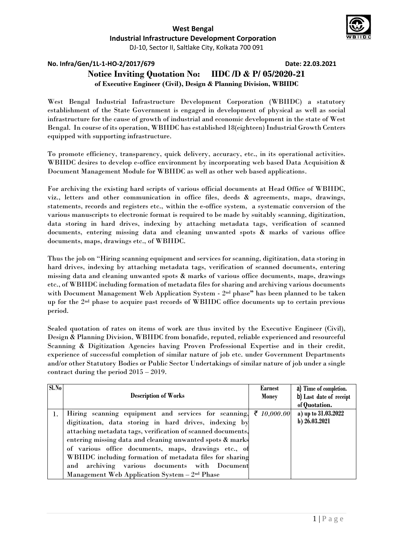

**No. Infra/Gen/1L-1-HO-2/2017/679 Date: 22.03.2021**

# **Notice Inviting Quotation No: IIDC /D & P/ 05/2020-21 of Executive Engineer (Civil), Design & Planning Division, WBIIDC**

West Bengal Industrial Infrastructure Development Corporation (WBIIDC) a statutory establishment of the State Government is engaged in development of physical as well as social infrastructure for the cause of growth of industrial and economic development in the state of West Bengal. In course of its operation, WBIIDC has established 18(eighteen) Industrial Growth Centers equipped with supporting infrastructure.

To promote efficiency, transparency, quick delivery, accuracy, etc., in its operational activities. WBIIDC desires to develop e-office environment by incorporating web based Data Acquisition & Document Management Module for WBIIDC as well as other web based applications.

For archiving the existing hard scripts of various official documents at Head Office of WBIIDC, viz., letters and other communication in office files, deeds & agreements, maps, drawings, statements, records and registers etc., within the e-office system, a systematic conversion of the various manuscripts to electronic format is required to be made by suitably scanning, digitization, data storing in hard drives, indexing by attaching metadata tags, verification of scanned documents, entering missing data and cleaning unwanted spots & marks of various office documents, maps, drawings etc., of WBIIDC.

Thus the job on "Hiring scanning equipment and services for scanning, digitization, data storing in hard drives, indexing by attaching metadata tags, verification of scanned documents, entering missing data and cleaning unwanted spots & marks of various office documents, maps, drawings etc., of WBIIDC including formation of metadata files for sharing and archiving various documents with Document Management Web Application System - 2nd phase**"** has been planned to be taken up for the 2nd phase to acquire past records of WBIIDC office documents up to certain previous period.

Sealed quotation of rates on items of work are thus invited by the Executive Engineer (Civil), Design & Planning Division, WBIIDC from bonafide, reputed, reliable experienced and resourceful Scanning & Digitization Agencies having Proven Professional Expertise and in their credit, experience of successful completion of similar nature of job etc. under Government Departments and/or other Statutory Bodies or Public Sector Undertakings of similar nature of job under a single contract during the period 2015 – 2019.

| SI.No |                                                             | <b>Earnest</b> | a) Time of completion.  |  |  |
|-------|-------------------------------------------------------------|----------------|-------------------------|--|--|
|       | <b>Description of Works</b>                                 | Money          | b) Last date of receipt |  |  |
|       |                                                             |                | of Quotation.           |  |  |
|       | Hiring scanning equipment and services for scanning,        | ₹ 10,000.00    | a) up to 31.03.2022     |  |  |
|       | digitization, data storing in hard drives, indexing by      |                | b) 26.03.2021           |  |  |
|       | attaching metadata tags, verification of scanned documents, |                |                         |  |  |
|       | entering missing data and cleaning unwanted spots & marks   |                |                         |  |  |
|       | of various office documents, maps, drawings etc., of        |                |                         |  |  |
|       | WBIIDC including formation of metadata files for sharing    |                |                         |  |  |
|       | archiving various documents with Document<br>and            |                |                         |  |  |
|       | Management Web Application System - 2 <sup>nd</sup> Phase   |                |                         |  |  |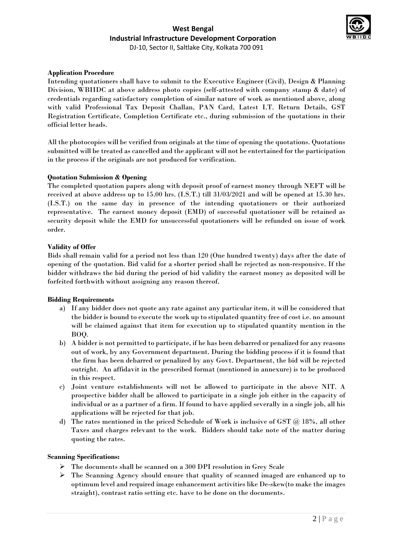# **West Bengal Industrial Infrastructure Development Corporation** DJ-10, Sector II, Saltlake City, Kolkata 700 091



#### **Application Procedure**

Intending quotationers shall have to submit to the Executive Engineer (Civil), Design & Planning Division, WBIIDC at above address photo copies (self-attested with company stamp & date) of credentials regarding satisfactory completion of similar nature of work as mentioned above, along with valid Professional Tax Deposit Challan, PAN Card, Latest I.T. Return Details, GST Registration Certificate, Completion Certificate etc., during submission of the quotations in their official letter heads.

All the photocopies will be verified from originals at the time of opening the quotations. Quotations submitted will be treated as cancelled and the applicant will not be entertained for the participation in the process if the originals are not produced for verification.

#### **Quotation Submission & Opening**

The completed quotation papers along with deposit proof of earnest money through NEFT will be received at above address up to 15.00 hrs. (I.S.T.) till 31/03/2021 and will be opened at 15.30 hrs. (I.S.T.) on the same day in presence of the intending quotationers or their authorized representative. The earnest money deposit (EMD) of successful quotationer will be retained as security deposit while the EMD for unsuccessful quotationers will be refunded on issue of work order.

#### **Validity of Offer**

Bids shall remain valid for a period not less than 120 (One hundred twenty) days after the date of opening of the quotation. Bid valid for a shorter period shall be rejected as non-responsive. If the bidder withdraws the bid during the period of bid validity the earnest money as deposited will be forfeited forthwith without assigning any reason thereof.

#### **Bidding Requirements**

- a) If any bidder does not quote any rate against any particular item, it will be considered that the bidder is bound to execute the work up to stipulated quantity free of cost i.e. no amount will be claimed against that item for execution up to stipulated quantity mention in the BOQ.
- b) A bidder is not permitted to participate, if he has been debarred or penalized for any reasons out of work, by any Government department. During the bidding process if it is found that the firm has been debarred or penalized by any Govt. Department, the bid will be rejected outright. An affidavit in the prescribed format (mentioned in annexure) is to be produced in this respect.
- c) Joint venture establishments will not be allowed to participate in the above NIT. A prospective bidder shall be allowed to participate in a single job either in the capacity of individual or as a partner of a firm. If found to have applied severally in a single job, all his applications will be rejected for that job.
- d) The rates mentioned in the priced Schedule of Work is inclusive of GST  $@$  18%, all other Taxes and charges relevant to the work. Bidders should take note of the matter during quoting the rates.

#### **Scanning Specifications:**

- The documents shall be scanned on a 300 DPI resolution in Grey Scale
- The Scanning Agency should ensure that quality of scanned imaged are enhanced up to optimum level and required image enhancement activities like De-skew(to make the images straight), contrast ratio setting etc. have to be done on the documents.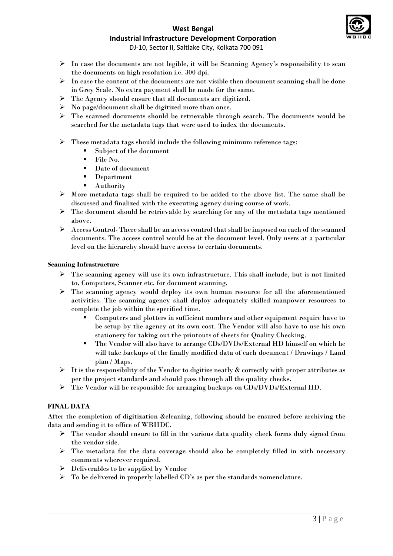

# **West Bengal**

# **Industrial Infrastructure Development Corporation**

DJ-10, Sector II, Saltlake City, Kolkata 700 091

- In case the documents are not legible, it will be Scanning Agency's responsibility to scan the documents on high resolution i.e. 300 dpi.
- $\triangleright$  In case the content of the documents are not visible then document scanning shall be done in Grey Scale. No extra payment shall be made for the same.
- The Agency should ensure that all documents are digitized.
- No page/document shall be digitized more than once.
- The scanned documents should be retrievable through search. The documents would be searched for the metadata tags that were used to index the documents.
- $\triangleright$  These metadata tags should include the following minimum reference tags:
	- Subject of the document
	- $\blacksquare$  File No.
	- Date of document
	- **Department**
	- **Authority**
- $\triangleright$  More metadata tags shall be required to be added to the above list. The same shall be discussed and finalized with the executing agency during course of work.
- $\triangleright$  The document should be retrievable by searching for any of the metadata tags mentioned above.
- Access Control- There shall be an access control that shall be imposed on each of the scanned documents. The access control would be at the document level. Only users at a particular level on the hierarchy should have access to certain documents.

# **Scanning Infrastructure**

- The scanning agency will use its own infrastructure. This shall include, but is not limited to, Computers, Scanner etc. for document scanning.
- $\triangleright$  The scanning agency would deploy its own human resource for all the aforementioned activities. The scanning agency shall deploy adequately skilled manpower resources to complete the job within the specified time.
	- Computers and plotters in sufficient numbers and other equipment require have to be setup by the agency at its own cost. The Vendor will also have to use his own stationery for taking out the printouts of sheets for Quality Checking.
	- The Vendor will also have to arrange CDs/DVDs/External HD himself on which he will take backups of the finally modified data of each document / Drawings / Land plan / Maps.
- $\triangleright$  It is the responsibility of the Vendor to digitize neatly & correctly with proper attributes as per the project standards and should pass through all the quality checks.
- $\triangleright$  The Vendor will be responsible for arranging backups on CDs/DVDs/External HD.

# **FINAL DATA**

After the completion of digitization &cleaning, following should be ensured before archiving the data and sending it to office of WBIIDC.

- The vendor should ensure to fill in the various data quality check forms duly signed from the vendor side.
- $\triangleright$  The metadata for the data coverage should also be completely filled in with necessary comments wherever required.
- $\triangleright$  Deliverables to be supplied by Vendor
- $\triangleright$  To be delivered in properly labelled CD's as per the standards nomenclature.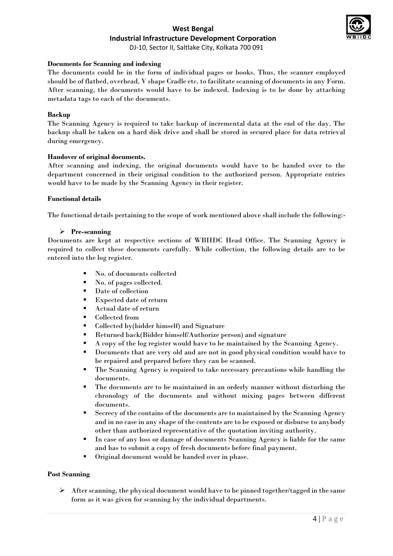

DJ-10, Sector II, Saltlake City, Kolkata 700 091

#### **Documents for Scanning and indexing**

The documents could be in the form of individual pages or books. Thus, the scanner employed should be of flatbed, overhead, V shape Cradle etc. to facilitate scanning of documents in any Form. After scanning, the documents would have to be indexed. Indexing is to be done by attaching metadata tags to each of the documents.

#### **Backup**

The Scanning Agency is required to take backup of incremental data at the end of the day. The backup shall be taken on a hard disk drive and shall be stored in secured place for data retrieval during emergency.

# **Handover of original documents.**

After scanning and indexing, the original documents would have to be handed over to the department concerned in their original condition to the authorized person. Appropriate entries would have to be made by the Scanning Agency in their register.

#### **Functional details**

The functional details pertaining to the scope of work mentioned above shall include the following:-

# **Pre-scanning**

Documents are kept at respective sections of WBIIDC Head Office. The Scanning Agency is required to collect these documents carefully. While collection, the following details are to be entered into the log register.

- No. of documents collected
- No. of pages collected.
- Date of collection
- Expected date of return
- Actual date of return
- Collected from
- Collected by(bidder himself) and Signature
- Returned back(Bidder himself/Authorize person) and signature
- A copy of the log register would have to be maintained by the Scanning Agency.
- Documents that are very old and are not in good physical condition would have to be repaired and prepared before they can be scanned.
- The Scanning Agency is required to take necessary precautions while handling the documents.
- The documents are to be maintained in an orderly manner without disturbing the chronology of the documents and without mixing pages between different documents.
- Secrecy of the contains of the documents are to maintained by the Scanning Agency and in no case in any shape of the contents are to be exposed or disburse to anybody other than authorized representative of the quotation inviting authority.
- In case of any loss or damage of documents Scanning Agency is liable for the same and has to submit a copy of fresh documents before final payment.
- Original document would be handed over in phase.

#### **Post Scanning**

 $\triangleright$  After scanning, the physical document would have to be pinned together/tagged in the same form as it was given for scanning by the individual departments.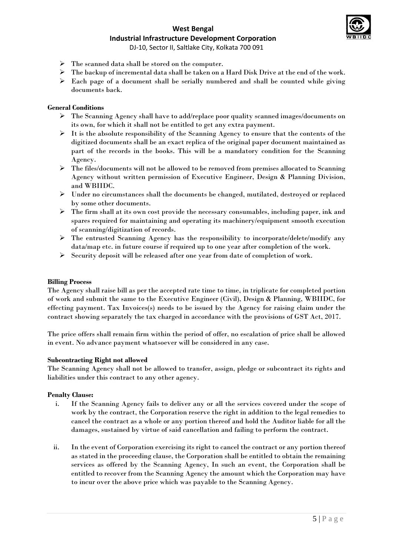# **West Bengal**



**Industrial Infrastructure Development Corporation**

DJ-10, Sector II, Saltlake City, Kolkata 700 091

- $\triangleright$  The scanned data shall be stored on the computer.
- $\triangleright$  The backup of incremental data shall be taken on a Hard Disk Drive at the end of the work.
- $\triangleright$  Each page of a document shall be serially numbered and shall be counted while giving documents back.

#### **General Conditions**

- $\triangleright$  The Scanning Agency shall have to add/replace poor quality scanned images/documents on its own, for which it shall not be entitled to get any extra payment.
- $\triangleright$  It is the absolute responsibility of the Scanning Agency to ensure that the contents of the digitized documents shall be an exact replica of the original paper document maintained as part of the records in the books. This will be a mandatory condition for the Scanning Agency.
- $\triangleright$  The files/documents will not be allowed to be removed from premises allocated to Scanning Agency without written permission of Executive Engineer, Design & Planning Division, and WBIIDC.
- $\triangleright$  Under no circumstances shall the documents be changed, mutilated, destroyed or replaced by some other documents.
- $\triangleright$  The firm shall at its own cost provide the necessary consumables, including paper, ink and spares required for maintaining and operating its machinery/equipment smooth execution of scanning/digitization of records.
- The entrusted Scanning Agency has the responsibility to incorporate/delete/modify any data/map etc. in future course if required up to one year after completion of the work.
- $\triangleright$  Security deposit will be released after one year from date of completion of work.

#### **Billing Process**

The Agency shall raise bill as per the accepted rate time to time, in triplicate for completed portion of work and submit the same to the Executive Engineer (Civil), Design & Planning, WBIIDC, for effecting payment. Tax Invoices(s) needs to be issued by the Agency for raising claim under the contract showing separately the tax charged in accordance with the provisions of GST Act, 2017.

The price offers shall remain firm within the period of offer, no escalation of price shall be allowed in event. No advance payment whatsoever will be considered in any case.

#### **Subcontracting Right not allowed**

The Scanning Agency shall not be allowed to transfer, assign, pledge or subcontract its rights and liabilities under this contract to any other agency.

#### **Penalty Clause:**

- i. If the Scanning Agency fails to deliver any or all the services covered under the scope of work by the contract, the Corporation reserve the right in addition to the legal remedies to cancel the contract as a whole or any portion thereof and hold the Auditor liable for all the damages, sustained by virtue of said cancellation and failing to perform the contract.
- ii. In the event of Corporation exercising its right to cancel the contract or any portion thereof as stated in the proceeding clause, the Corporation shall be entitled to obtain the remaining services as offered by the Scanning Agency, In such an event, the Corporation shall be entitled to recover from the Scanning Agency the amount which the Corporation may have to incur over the above price which was payable to the Scanning Agency.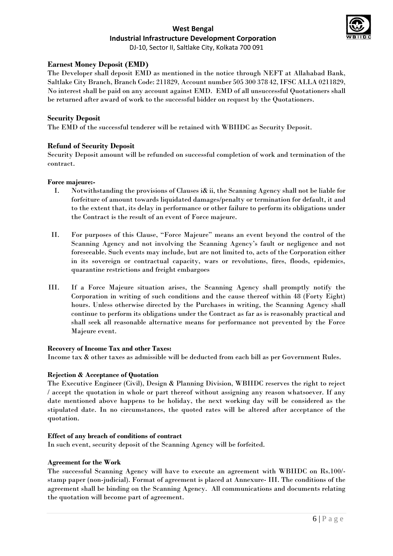

DJ-10, Sector II, Saltlake City, Kolkata 700 091

# **Earnest Money Deposit (EMD)**

The Developer shall deposit EMD as mentioned in the notice through NEFT at Allahabad Bank, Saltlake City Branch, Branch Code: 211829, Account number 505 300 378 42, IFSC ALLA 0211829, No interest shall be paid on any account against EMD. EMD of all unsuccessful Quotationers shall be returned after award of work to the successful bidder on request by the Quotationers.

# **Security Deposit**

The EMD of the successful tenderer will be retained with WBIIDC as Security Deposit.

# **Refund of Security Deposit**

Security Deposit amount will be refunded on successful completion of work and termination of the contract.

#### **Force majeure:-**

- I. Notwithstanding the provisions of Clauses i& ii, the Scanning Agency shall not be liable for forfeiture of amount towards liquidated damages/penalty or termination for default, it and to the extent that, its delay in performance or other failure to perform its obligations under the Contract is the result of an event of Force majeure.
- II. For purposes of this Clause, "Force Majeure" means an event beyond the control of the Scanning Agency and not involving the Scanning Agency's fault or negligence and not foreseeable. Such events may include, but are not limited to, acts of the Corporation either in its sovereign or contractual capacity, wars or revolutions, fires, floods, epidemics, quarantine restrictions and freight embargoes
- III. If a Force Majeure situation arises, the Scanning Agency shall promptly notify the Corporation in writing of such conditions and the cause thereof within 48 (Forty Eight) hours. Unless otherwise directed by the Purchases in writing, the Scanning Agency shall continue to perform its obligations under the Contract as far as is reasonably practical and shall seek all reasonable alternative means for performance not prevented by the Force Majeure event.

#### **Recovery of Income Tax and other Taxes:**

Income tax & other taxes as admissible will be deducted from each bill as per Government Rules.

#### **Rejection & Acceptance of Quotation**

The Executive Engineer (Civil), Design & Planning Division, WBIIDC reserves the right to reject / accept the quotation in whole or part thereof without assigning any reason whatsoever. If any date mentioned above happens to be holiday, the next working day will be considered as the stipulated date. In no circumstances, the quoted rates will be altered after acceptance of the quotation.

#### **Effect of any breach of conditions of contract**

In such event, security deposit of the Scanning Agency will be forfeited.

#### **Agreement for the Work**

The successful Scanning Agency will have to execute an agreement with WBIIDC on Rs.100/ stamp paper (non-judicial). Format of agreement is placed at Annexure- III. The conditions of the agreement shall be binding on the Scanning Agency. All communications and documents relating the quotation will become part of agreement.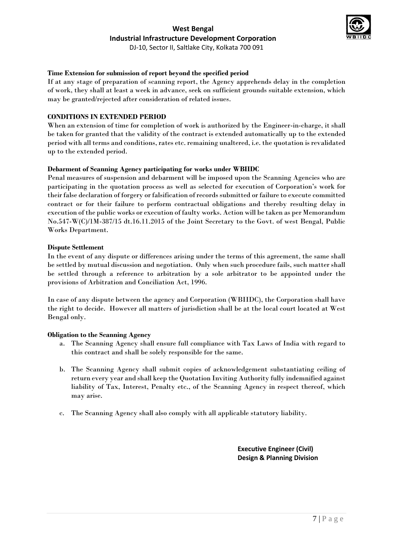

DJ-10, Sector II, Saltlake City, Kolkata 700 091

# **Time Extension for submission of report beyond the specified period**

If at any stage of preparation of scanning report, the Agency apprehends delay in the completion of work, they shall at least a week in advance, seek on sufficient grounds suitable extension, which may be granted/rejected after consideration of related issues.

# **CONDITIONS IN EXTENDED PERIOD**

When an extension of time for completion of work is authorized by the Engineer-in-charge, it shall be taken for granted that the validity of the contract is extended automatically up to the extended period with all terms and conditions, rates etc. remaining unaltered, i.e. the quotation is revalidated up to the extended period.

#### **Debarment of Scanning Agency participating for works under WBIIDC**

Penal measures of suspension and debarment will be imposed upon the Scanning Agencies who are participating in the quotation process as well as selected for execution of Corporation's work for their false declaration of forgery or falsification of records submitted or failure to execute committed contract or for their failure to perform contractual obligations and thereby resulting delay in execution of the public works or execution of faulty works. Action will be taken as per Memorandum No.547-W(C)/1M-387/15 dt.16.11.2015 of the Joint Secretary to the Govt. of west Bengal, Public Works Department.

#### **Dispute Settlement**

In the event of any dispute or differences arising under the terms of this agreement, the same shall be settled by mutual discussion and negotiation. Only when such procedure fails, such matter shall be settled through a reference to arbitration by a sole arbitrator to be appointed under the provisions of Arbitration and Conciliation Act, 1996.

In case of any dispute between the agency and Corporation (WBIIDC), the Corporation shall have the right to decide. However all matters of jurisdiction shall be at the local court located at West Bengal only.

#### **Obligation to the Scanning Agency**

- a. The Scanning Agency shall ensure full compliance with Tax Laws of India with regard to this contract and shall be solely responsible for the same.
- b. The Scanning Agency shall submit copies of acknowledgement substantiating ceiling of return every year and shall keep the Quotation Inviting Authority fully indemnified against liability of Tax, Interest, Penalty etc., of the Scanning Agency in respect thereof, which may arise.
- c. The Scanning Agency shall also comply with all applicable statutory liability.

**Executive Engineer (Civil) Design & Planning Division**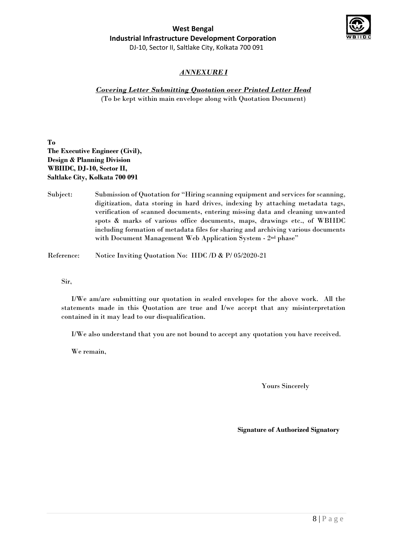

# *ANNEXURE I*

# *Covering Letter Submitting Quotation over Printed Letter Head*

(To be kept within main envelope along with Quotation Document)

**To The Executive Engineer (Civil), Design & Planning Division WBIIDC, DJ-10, Sector II, Saltlake City, Kolkata 700 091**

Subject: Submission of Quotation for "Hiring scanning equipment and services for scanning, digitization, data storing in hard drives, indexing by attaching metadata tags, verification of scanned documents, entering missing data and cleaning unwanted spots & marks of various office documents, maps, drawings etc., of WBIIDC including formation of metadata files for sharing and archiving various documents with Document Management Web Application System - 2nd phase"

Reference: Notice Inviting Quotation No: IIDC /D & P/ 05/2020-21

Sir,

I/We am/are submitting our quotation in sealed envelopes for the above work. All the statements made in this Quotation are true and I/we accept that any misinterpretation contained in it may lead to our disqualification.

I/We also understand that you are not bound to accept any quotation you have received.

We remain,

Yours Sincerely

**Signature of Authorized Signatory**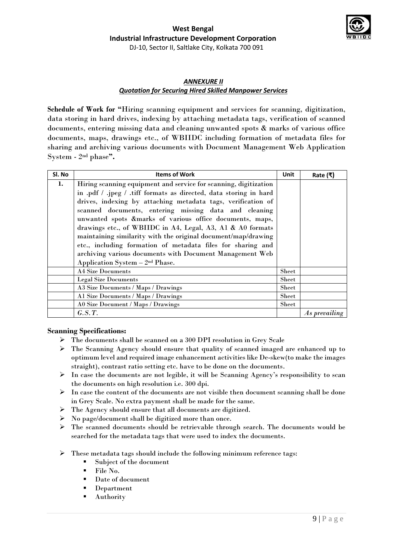

DJ-10, Sector II, Saltlake City, Kolkata 700 091

# *ANNEXURE II Quotation for Securing Hired Skilled Manpower Services*

**Schedule of Work for "**Hiring scanning equipment and services for scanning, digitization, data storing in hard drives, indexing by attaching metadata tags, verification of scanned documents, entering missing data and cleaning unwanted spots & marks of various office documents, maps, drawings etc., of WBIIDC including formation of metadata files for sharing and archiving various documents with Document Management Web Application System - 2 nd phase**".**

| Sl. No | <b>Items of Work</b>                                              | Unit         | Rate (₹)             |
|--------|-------------------------------------------------------------------|--------------|----------------------|
| 1.     | Hiring scanning equipment and service for scanning, digitization  |              |                      |
|        | in .pdf / .jpeg / .tiff formats as directed, data storing in hard |              |                      |
|        | drives, indexing by attaching metadata tags, verification of      |              |                      |
|        | scanned documents, entering missing data and cleaning             |              |                      |
|        | unwanted spots &marks of various office documents, maps,          |              |                      |
|        | drawings etc., of WBIIDC in A4, Legal, A3, A1 & A0 formats        |              |                      |
|        | maintaining similarity with the original document/map/drawing     |              |                      |
|        | etc., including formation of metadata files for sharing and       |              |                      |
|        | archiving various documents with Document Management Web          |              |                      |
|        | Application System $-2nd$ Phase.                                  |              |                      |
|        | <b>A4 Size Documents</b>                                          | <b>Sheet</b> |                      |
|        | <b>Legal Size Documents</b>                                       | Sheet        |                      |
|        | A3 Size Documents / Maps / Drawings                               | Sheet        |                      |
|        | Al Size Documents / Maps / Drawings                               | Sheet        |                      |
|        | A0 Size Document / Maps / Drawings                                | Sheet        |                      |
|        | G.S.T.                                                            |              | <i>As prevailing</i> |

# **Scanning Specifications:**

- The documents shall be scanned on a 300 DPI resolution in Grey Scale
- $\triangleright$  The Scanning Agency should ensure that quality of scanned imaged are enhanced up to optimum level and required image enhancement activities like De-skew(to make the images straight), contrast ratio setting etc. have to be done on the documents.
- $\triangleright$  In case the documents are not legible, it will be Scanning Agency's responsibility to scan the documents on high resolution i.e. 300 dpi.
- $\triangleright$  In case the content of the documents are not visible then document scanning shall be done in Grey Scale. No extra payment shall be made for the same.
- The Agency should ensure that all documents are digitized.
- $\triangleright$  No page/document shall be digitized more than once.
- $\triangleright$  The scanned documents should be retrievable through search. The documents would be searched for the metadata tags that were used to index the documents.
- $\triangleright$  These metadata tags should include the following minimum reference tags:
	- Subject of the document
	- $\blacksquare$  File No.
	- Date of document
	- Department
	- Authority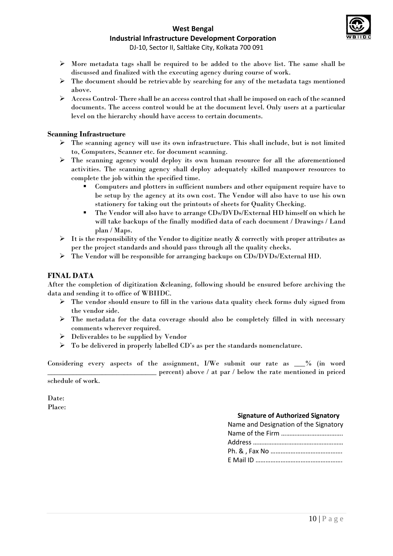

DJ-10, Sector II, Saltlake City, Kolkata 700 091

- More metadata tags shall be required to be added to the above list. The same shall be discussed and finalized with the executing agency during course of work.
- $\triangleright$  The document should be retrievable by searching for any of the metadata tags mentioned above.
- Access Control- There shall be an access control that shall be imposed on each of the scanned documents. The access control would be at the document level. Only users at a particular level on the hierarchy should have access to certain documents.

# **Scanning Infrastructure**

- $\triangleright$  The scanning agency will use its own infrastructure. This shall include, but is not limited to, Computers, Scanner etc. for document scanning.
- The scanning agency would deploy its own human resource for all the aforementioned activities. The scanning agency shall deploy adequately skilled manpower resources to complete the job within the specified time.
	- Computers and plotters in sufficient numbers and other equipment require have to be setup by the agency at its own cost. The Vendor will also have to use his own stationery for taking out the printouts of sheets for Quality Checking.
	- The Vendor will also have to arrange CDs/DVDs/External HD himself on which he will take backups of the finally modified data of each document / Drawings / Land plan / Maps.
- $\triangleright$  It is the responsibility of the Vendor to digitize neatly & correctly with proper attributes as per the project standards and should pass through all the quality checks.
- The Vendor will be responsible for arranging backups on CDs/DVDs/External HD.

# **FINAL DATA**

After the completion of digitization &cleaning, following should be ensured before archiving the data and sending it to office of WBIIDC.

- $\triangleright$  The vendor should ensure to fill in the various data quality check forms duly signed from the vendor side.
- $\triangleright$  The metadata for the data coverage should also be completely filled in with necessary comments wherever required.
- $\triangleright$  Deliverables to be supplied by Vendor
- $\triangleright$  To be delivered in properly labelled CD's as per the standards nomenclature.

Considering every aspects of the assignment, I/We submit our rate as  $\%$  (in word percent) above / at par / below the rate mentioned in priced schedule of work.

Date:

Place:

# **Signature of Authorized Signatory**

| Name and Designation of the Signatory |
|---------------------------------------|
|                                       |
|                                       |
|                                       |
|                                       |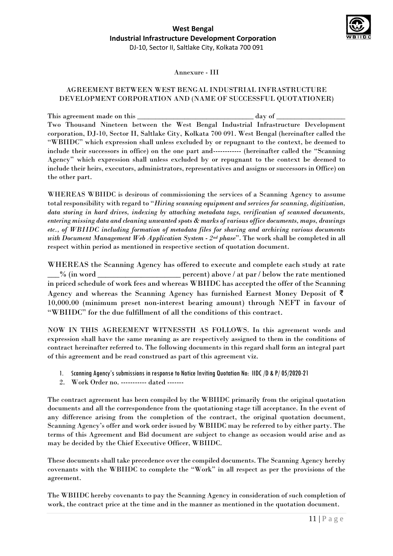

Annexure - III

# AGREEMENT BETWEEN WEST BENGAL INDUSTRIAL INFRASTRUCTURE DEVELOPMENT CORPORATION AND (NAME OF SUCCESSFUL QUOTATIONER)

This agreement made on this \_\_\_\_\_\_\_\_\_\_\_\_\_\_\_\_\_\_\_\_\_\_\_\_\_\_\_\_\_\_\_\_ day of \_\_\_\_\_\_\_\_\_\_\_\_\_\_\_\_\_\_\_ Two Thousand Nineteen between the West Bengal Industrial Infrastructure Development corporation, DJ-10, Sector II, Saltlake City, Kolkata 700 091. West Bengal (hereinafter called the "WBIIDC" which expression shall unless excluded by or repugnant to the context, be deemed to include their successors in office) on the one part and------------ (hereinafter called the "Scanning Agency" which expression shall unless excluded by or repugnant to the context be deemed to include their heirs, executors, administrators, representatives and assigns or successors in Office) on the other part.

WHEREAS WBIIDC is desirous of commissioning the services of a Scanning Agency to assume total responsibility with regard to "*Hiring scanning equipment and services for scanning, digitization, data storing in hard drives, indexing by attaching metadata tags, verification of scanned documents, entering missing data and cleaning unwanted spots & marks of various office documents, maps, drawings etc., of WBIIDC including formation of metadata files for sharing and archiving various documents with Document Management Web Application System - 2nd phase*". The work shall be completed in all respect within period as mentioned in respective section of quotation document.

WHEREAS the Scanning Agency has offered to execute and complete each study at rate \_\_\_% (in word \_\_\_\_\_\_\_\_\_\_\_\_\_\_\_\_\_\_\_\_\_ percent) above / at par / below the rate mentioned in priced schedule of work fees and whereas WBIIDC has accepted the offer of the Scanning Agency and whereas the Scanning Agency has furnished Earnest Money Deposit of ₹ 10,000.00 (minimum preset non-interest bearing amount) through NEFT in favour of "WBIIDC" for the due fulfillment of all the conditions of this contract.

NOW IN THIS AGREEMENT WITNESSTH AS FOLLOWS. In this agreement words and expression shall have the same meaning as are respectively assigned to them in the conditions of contract hereinafter referred to. The following documents in this regard shall form an integral part of this agreement and be read construed as part of this agreement viz.

- 1. Scanning Agency's submissions in response to Notice Inviting Quotation No: IIDC /D & P/ 05/2020-21
- 2. Work Order no. ----------- dated -------

The contract agreement has been compiled by the WBIIDC primarily from the original quotation documents and all the correspondence from the quotationing stage till acceptance. In the event of any difference arising from the completion of the contract, the original quotation document, Scanning Agency's offer and work order issued by WBIIDC may be referred to by either party. The terms of this Agreement and Bid document are subject to change as occasion would arise and as may be decided by the Chief Executive Officer, WBIIDC.

These documents shall take precedence over the compiled documents. The Scanning Agency hereby covenants with the WBIIDC to complete the "Work" in all respect as per the provisions of the agreement.

The WBIIDC hereby covenants to pay the Scanning Agency in consideration of such completion of work, the contract price at the time and in the manner as mentioned in the quotation document.